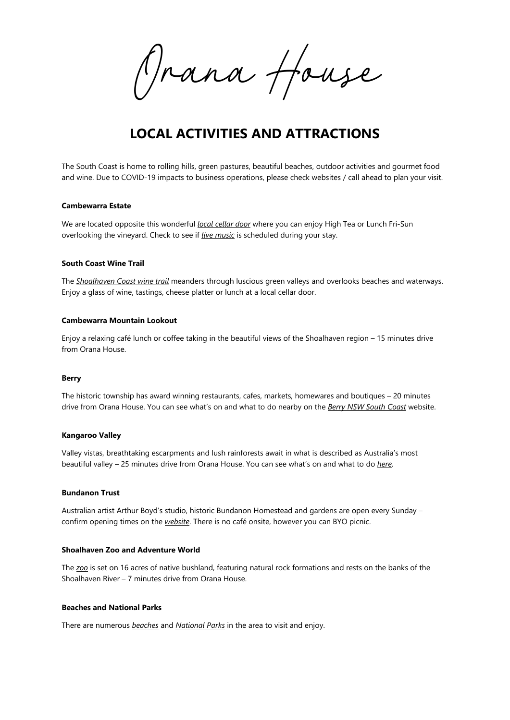*Orana House*

# **LOCAL ACTIVITIES AND ATTRACTIONS**

The South Coast is home to rolling hills, green pastures, beautiful beaches, outdoor activities and gourmet food and wine. Due to COVID-19 impacts to business operations, please check websites / call ahead to plan your visit.

#### **Cambewarra Estate**

We are located opposite this wonderful *[local cellar door](http://www.cambewarraestate.com.au/)* where you can enjoy High Tea or Lunch Fri-Sun overlooking the vineyard. Check to see if *[live music](http://www.cambewarraestate.com.au/live-music.html)* is scheduled during your stay.

#### **South Coast Wine Trail**

The *[Shoalhaven Coast wine trail](http://shoalhavencoastwine.com.au/wp-content/uploads/2019/04/shoalhaven-coast-wine-trail-for-website.pdf)* meanders through luscious green valleys and overlooks beaches and waterways. Enjoy a glass of wine, tastings, cheese platter or lunch at a local cellar door.

#### **Cambewarra Mountain Lookout**

Enjoy a relaxing café lunch or coffee taking in the beautiful views of the Shoalhaven region – 15 minutes drive from Orana House.

#### **Berry**

The historic township has award winning restaurants, cafes, markets, homewares and boutiques – 20 minutes drive from Orana House. You can see what's on and what to do nearby on the *[Berry NSW South Coast](https://berry.org.au/)* website.

#### **Kangaroo Valley**

Valley vistas, breathtaking escarpments and lush rainforests await in what is described as Australia's most beautiful valley – 25 minutes drive from Orana House. You can see what's on and what to do *[here](https://visitkangaroovalley.com.au/things-to-do)*.

#### **Bundanon Trust**

Australian artist Arthur Boyd's studio, historic Bundanon Homestead and gardens are open every Sunday – confirm opening times on the *[website](https://www.bundanon.com.au/)*. There is no café onsite, however you can BYO picnic.

## **Shoalhaven Zoo and Adventure World**

The *[zoo](https://shoalhavenzoo.com.au/)* is set on 16 acres of native bushland, featuring natural rock formations and rests on the banks of the Shoalhaven River – 7 minutes drive from Orana House.

#### **Beaches and National Parks**

There are numerous *[beaches](https://berry.org.au/beaches/)* and *[National Parks](https://www.nationalparks.nsw.gov.au/visit-a-park/parks/seven-mile-beach-national-park)* in the area to visit and enjoy.